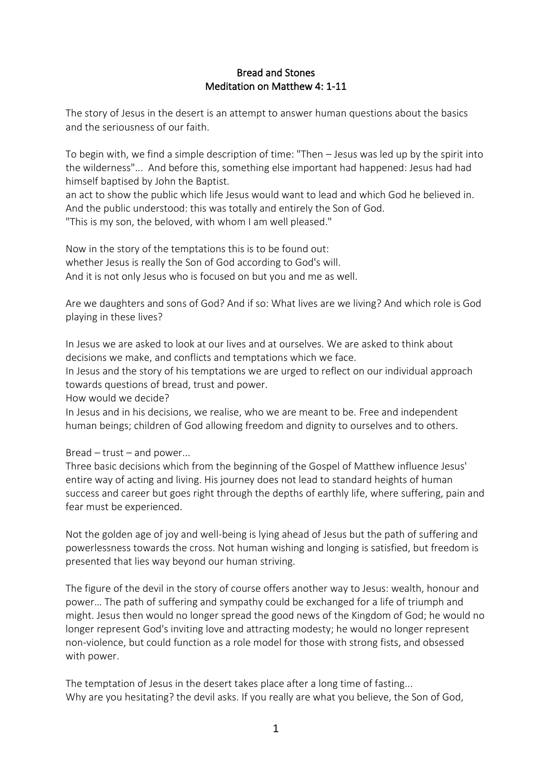## Bread and Stones Meditation on Matthew 4: 1-11

The story of Jesus in the desert is an attempt to answer human questions about the basics and the seriousness of our faith.

To begin with, we find a simple description of time: "Then – Jesus was led up by the spirit into the wilderness"... And before this, something else important had happened: Jesus had had himself baptised by John the Baptist.

an act to show the public which life Jesus would want to lead and which God he believed in. And the public understood: this was totally and entirely the Son of God. "This is my son, the beloved, with whom I am well pleased."

Now in the story of the temptations this is to be found out: whether Jesus is really the Son of God according to God's will. And it is not only Jesus who is focused on but you and me as well.

Are we daughters and sons of God? And if so: What lives are we living? And which role is God playing in these lives?

In Jesus we are asked to look at our lives and at ourselves. We are asked to think about decisions we make, and conflicts and temptations which we face.

In Jesus and the story of his temptations we are urged to reflect on our individual approach towards questions of bread, trust and power.

How would we decide?

In Jesus and in his decisions, we realise, who we are meant to be. Free and independent human beings; children of God allowing freedom and dignity to ourselves and to others.

Bread – trust – and power...

Three basic decisions which from the beginning of the Gospel of Matthew influence Jesus' entire way of acting and living. His journey does not lead to standard heights of human success and career but goes right through the depths of earthly life, where suffering, pain and fear must be experienced.

Not the golden age of joy and well-being is lying ahead of Jesus but the path of suffering and powerlessness towards the cross. Not human wishing and longing is satisfied, but freedom is presented that lies way beyond our human striving.

The figure of the devil in the story of course offers another way to Jesus: wealth, honour and power… The path of suffering and sympathy could be exchanged for a life of triumph and might. Jesus then would no longer spread the good news of the Kingdom of God; he would no longer represent God's inviting love and attracting modesty; he would no longer represent non-violence, but could function as a role model for those with strong fists, and obsessed with power.

The temptation of Jesus in the desert takes place after a long time of fasting... Why are you hesitating? the devil asks. If you really are what you believe, the Son of God,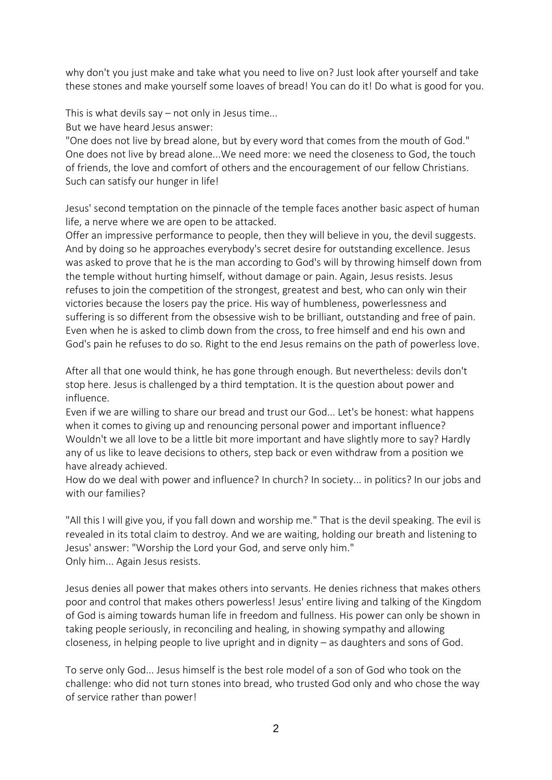why don't you just make and take what you need to live on? Just look after yourself and take these stones and make yourself some loaves of bread! You can do it! Do what is good for you.

This is what devils say – not only in Jesus time...

But we have heard Jesus answer:

"One does not live by bread alone, but by every word that comes from the mouth of God." One does not live by bread alone...We need more: we need the closeness to God, the touch of friends, the love and comfort of others and the encouragement of our fellow Christians. Such can satisfy our hunger in life!

Jesus' second temptation on the pinnacle of the temple faces another basic aspect of human life, a nerve where we are open to be attacked.

Offer an impressive performance to people, then they will believe in you, the devil suggests. And by doing so he approaches everybody's secret desire for outstanding excellence. Jesus was asked to prove that he is the man according to God's will by throwing himself down from the temple without hurting himself, without damage or pain. Again, Jesus resists. Jesus refuses to join the competition of the strongest, greatest and best, who can only win their victories because the losers pay the price. His way of humbleness, powerlessness and suffering is so different from the obsessive wish to be brilliant, outstanding and free of pain. Even when he is asked to climb down from the cross, to free himself and end his own and God's pain he refuses to do so. Right to the end Jesus remains on the path of powerless love.

After all that one would think, he has gone through enough. But nevertheless: devils don't stop here. Jesus is challenged by a third temptation. It is the question about power and influence.

Even if we are willing to share our bread and trust our God... Let's be honest: what happens when it comes to giving up and renouncing personal power and important influence? Wouldn't we all love to be a little bit more important and have slightly more to say? Hardly any of us like to leave decisions to others, step back or even withdraw from a position we have already achieved.

How do we deal with power and influence? In church? In society... in politics? In our jobs and with our families?

"All this I will give you, if you fall down and worship me." That is the devil speaking. The evil is revealed in its total claim to destroy. And we are waiting, holding our breath and listening to Jesus' answer: "Worship the Lord your God, and serve only him." Only him... Again Jesus resists.

Jesus denies all power that makes others into servants. He denies richness that makes others poor and control that makes others powerless! Jesus' entire living and talking of the Kingdom of God is aiming towards human life in freedom and fullness. His power can only be shown in taking people seriously, in reconciling and healing, in showing sympathy and allowing closeness, in helping people to live upright and in dignity – as daughters and sons of God.

To serve only God... Jesus himself is the best role model of a son of God who took on the challenge: who did not turn stones into bread, who trusted God only and who chose the way of service rather than power!